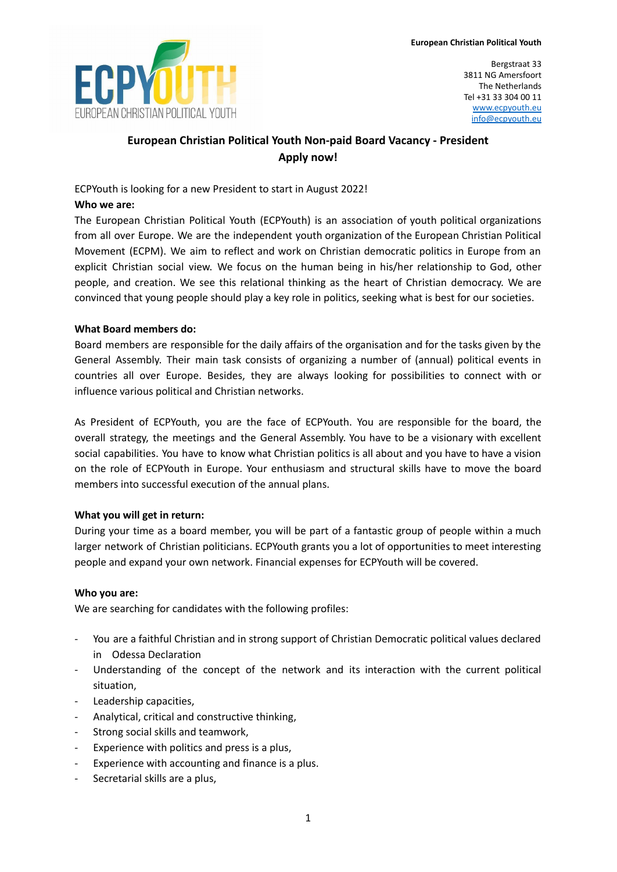

Bergstraat 33 3811 NG Amersfoort The Netherlands Tel +31 33 304 00 11 [www.ecpyouth.eu](http://www.ecpyouth.eu) [info@ecpyouth.eu](mailto:info@ecpyouth.eu)

# **European Christian Political Youth Non-paid Board Vacancy - President Apply now!**

ECPYouth is looking for a new President to start in August 2022!

### **Who we are:**

The European Christian Political Youth (ECPYouth) is an association of youth political organizations from all over Europe. We are the independent youth organization of the European Christian Political Movement (ECPM). We aim to reflect and work on Christian democratic politics in Europe from an explicit Christian social view. We focus on the human being in his/her relationship to God, other people, and creation. We see this relational thinking as the heart of Christian democracy. We are convinced that young people should play a key role in politics, seeking what is best for our societies.

# **What Board members do:**

Board members are responsible for the daily affairs of the organisation and for the tasks given by the General Assembly. Their main task consists of organizing a number of (annual) political events in countries all over Europe. Besides, they are always looking for possibilities to connect with or influence various political and Christian networks.

As President of ECPYouth, you are the face of ECPYouth. You are responsible for the board, the overall strategy, the meetings and the General Assembly. You have to be a visionary with excellent social capabilities. You have to know what Christian politics is all about and you have to have a vision on the role of ECPYouth in Europe. Your enthusiasm and structural skills have to move the board members into successful execution of the annual plans.

# **What you will get in return:**

During your time as a board member, you will be part of a fantastic group of people within a much larger network of Christian politicians. ECPYouth grants you a lot of opportunities to meet interesting people and expand your own network. Financial expenses for ECPYouth will be covered.

### **Who you are:**

We are searching for candidates with the following profiles:

- You are a faithful Christian and in strong support of Christian Democratic political values declared in Odessa Declaration
- Understanding of the concept of the network and its interaction with the current political situation,
- Leadership capacities,
- Analytical, critical and constructive thinking,
- Strong social skills and teamwork,
- Experience with politics and press is a plus,
- Experience with accounting and finance is a plus.
- Secretarial skills are a plus,